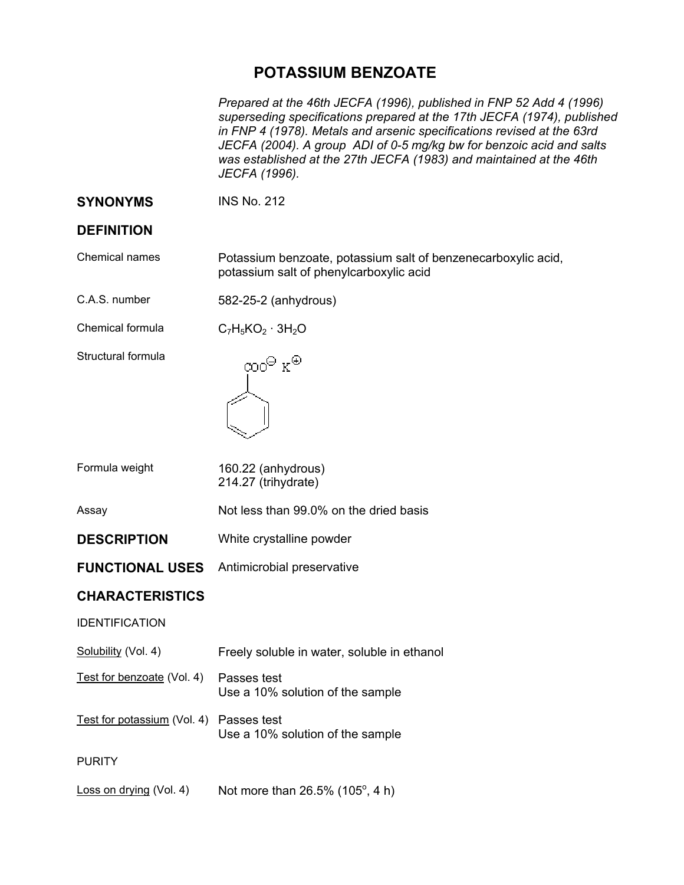# **POTASSIUM BENZOATE**

*Prepared at the 46th JECFA (1996), published in FNP 52 Add 4 (1996) superseding specifications prepared at the 17th JECFA (1974), published in FNP 4 (1978). Metals and arsenic specifications revised at the 63rd JECFA (2004). A group ADI of 0-5 mg/kg bw for benzoic acid and salts was established at the 27th JECFA (1983) and maintained at the 46th JECFA (1996).* 

## **SYNONYMS** INS No. 212

### **DEFINITION**

Chemical names Potassium benzoate, potassium salt of benzenecarboxylic acid, potassium salt of phenylcarboxylic acid

| C.A.S. number | 582-25-2 (anhydrous) |
|---------------|----------------------|
|---------------|----------------------|

Chemical formula  $C_7H_5KO_2 \cdot 3H_2O$ 

Structural formula



| Formula weight | 160.22 (anhydrous)  |
|----------------|---------------------|
|                | 214.27 (trihydrate) |

Assay Not less than 99.0% on the dried basis

**DESCRIPTION** White crystalline powder

**FUNCTIONAL USES** Antimicrobial preservative

### **CHARACTERISTICS**

#### IDENTIFICATION

Test for benzoate (Vol. 4) Passes test Use a 10% solution of the sample

Test for potassium (Vol. 4) Passes test Use a 10% solution of the sample

PURITY

Loss on drying (Vol. 4) Not more than  $26.5\%$  (105 $^{\circ}$ , 4 h)